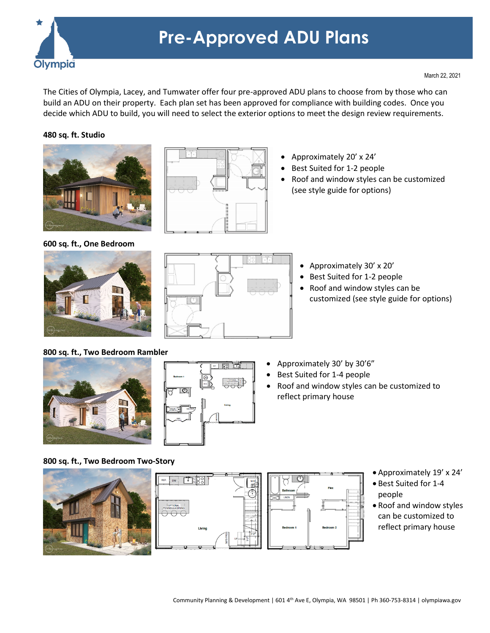

# **Pre-Approved ADU Plans**

The Cities of Olympia, Lacey, and Tumwater offer four pre-approved ADU plans to choose from by those who can build an ADU on their property. Each plan set has been approved for compliance with building codes. Once you decide which ADU to build, you will need to select the exterior options to meet the design review requirements.

## **480 sq. ft. Studio**



- Approximately 20' x 24'
- Best Suited for 1-2 people
- Roof and window styles can be customized (see style guide for options)

**600 sq. ft., One Bedroom**



- Approximately 30' x 20'
- Best Suited for 1-2 people
- Roof and window styles can be customized (see style guide for options)

# **800 sq. ft., Two Bedroom Rambler**



| $\overline{\phantom{a}}$                                 |                                | z                            |
|----------------------------------------------------------|--------------------------------|------------------------------|
| Bedroom 1                                                | PET.                           | 88                           |
| $  \mathbb{O}  $                                         | $\dot{\mathbf{\Theta}}$<br>w.c | OPTIONAL<br><b>HAANDERHA</b> |
|                                                          |                                | Living                       |
| SON 30°<br>SHOW ES<br><b>1000 PASS</b><br>5050<br>  POLD |                                |                              |
|                                                          |                                |                              |
|                                                          |                                |                              |

- Approximately 30' by 30'6"
- Best Suited for 1-4 people
- Roof and window styles can be customized to reflect primary house

# **800 sq. ft., Two Bedroom Two-Story**





- Approximately 19' x 24'
- Best Suited for 1-4 people
- Roof and window styles can be customized to reflect primary house